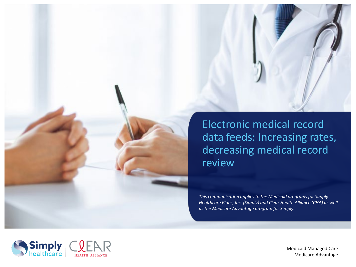



Medicaid Managed Care Medicare Advantage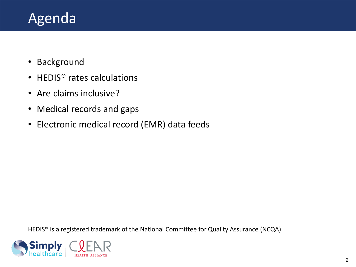## Agenda

- Background
- HEDIS<sup>®</sup> rates calculations
- Are claims inclusive?
- Medical records and gaps
- Electronic medical record (EMR) data feeds

HEDIS<sup>®</sup> is a registered trademark of the National Committee for Quality Assurance (NCQA).

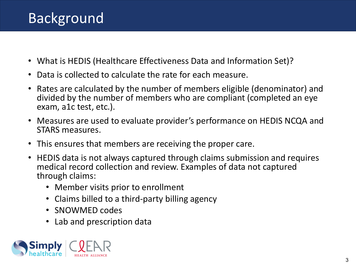- What is HEDIS (Healthcare Effectiveness Data and Information Set)?
- Data is collected to calculate the rate for each measure.
- Rates are calculated by the number of members eligible (denominator) and divided by the number of members who are compliant (completed an eye exam, a1c test, etc.).
- Measures are used to evaluate provider's performance on HEDIS NCQA and STARS measures.
- This ensures that members are receiving the proper care.
- HEDIS data is not always captured through claims submission and requires medical record collection and review. Examples of data not captured through claims:
	- Member visits prior to enrollment
	- Claims billed to a third-party billing agency
	- SNOWMED codes
	- Lab and prescription data

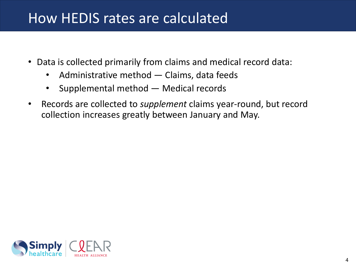#### How HEDIS rates are calculated

- Data is collected primarily from claims and medical record data:
	- Administrative method Claims, data feeds
	- Supplemental method Medical records
- Records are collected to *supplement* claims year-round, but record collection increases greatly between January and May.

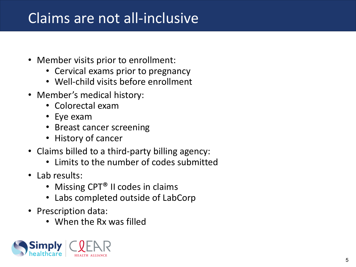## Claims are not all-inclusive

- Member visits prior to enrollment:
	- Cervical exams prior to pregnancy
	- Well-child visits before enrollment
- Member's medical history:
	- Colorectal exam
	- Eye exam
	- Breast cancer screening
	- History of cancer
- Claims billed to a third-party billing agency:
	- Limits to the number of codes submitted
- Lab results:
	- Missing CPT<sup>®</sup> II codes in claims
	- Labs completed outside of LabCorp
- Prescription data:
	- When the Rx was filled

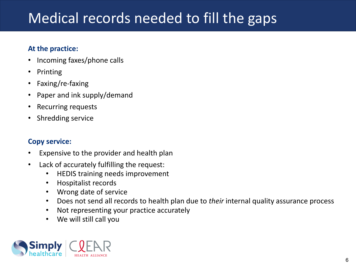# Medical records needed to fill the gaps

#### **At the practice:**

- Incoming faxes/phone calls
- Printing
- Faxing/re-faxing
- Paper and ink supply/demand
- Recurring requests
- Shredding service

#### **Copy service:**

- Expensive to the provider and health plan
- Lack of accurately fulfilling the request:
	- HEDIS training needs improvement
	- Hospitalist records
	- Wrong date of service
	- Does not send all records to health plan due to *their* internal quality assurance process
	- Not representing your practice accurately
	- We will still call you

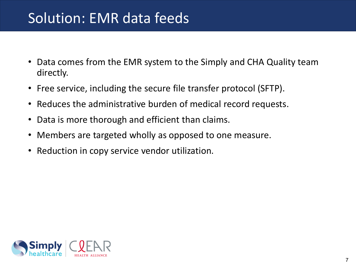### Solution: EMR data feeds

- Data comes from the EMR system to the Simply and CHA Quality team directly.
- Free service, including the secure file transfer protocol (SFTP).
- Reduces the administrative burden of medical record requests.
- Data is more thorough and efficient than claims.
- Members are targeted wholly as opposed to one measure.
- Reduction in copy service vendor utilization.

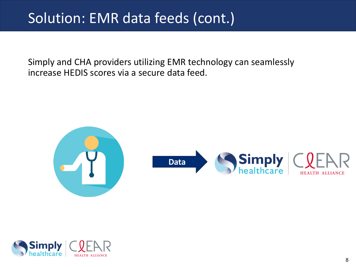### Solution: EMR data feeds (cont.)

Simply and CHA providers utilizing EMR technology can seamlessly increase HEDIS scores via a secure data feed.



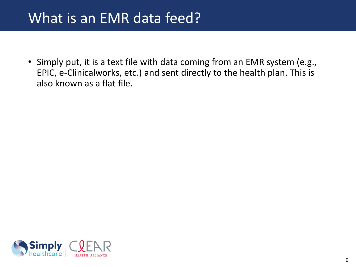#### What is an EMR data feed?

• Simply put, it is a text file with data coming from an EMR system (e.g., EPIC, e-Clinicalworks, etc.) and sent directly to the health plan. This is also known as a flat file.

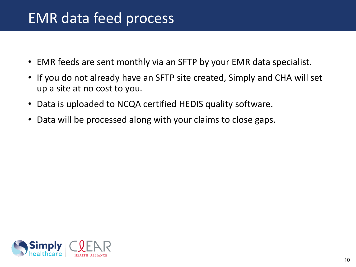#### EMR data feed process

- EMR feeds are sent monthly via an SFTP by your EMR data specialist.
- If you do not already have an SFTP site created, Simply and CHA will set up a site at no cost to you.
- Data is uploaded to NCQA certified HEDIS quality software.
- Data will be processed along with your claims to close gaps.

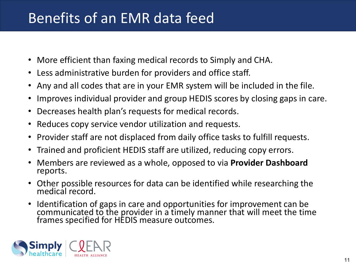### Benefits of an EMR data feed

- More efficient than faxing medical records to Simply and CHA.
- Less administrative burden for providers and office staff.
- Any and all codes that are in your EMR system will be included in the file.
- Improves individual provider and group HEDIS scores by closing gaps in care.
- Decreases health plan's requests for medical records.
- Reduces copy service vendor utilization and requests.
- Provider staff are not displaced from daily office tasks to fulfill requests.
- Trained and proficient HEDIS staff are utilized, reducing copy errors.
- Members are reviewed as a whole, opposed to via **Provider Dashboard**  reports.
- Other possible resources for data can be identified while researching the medical record.
- Identification of gaps in care and opportunities for improvement can be communicated to the provider in a timely manner that will meet the time frames specified for HEDIS measure outcomes.